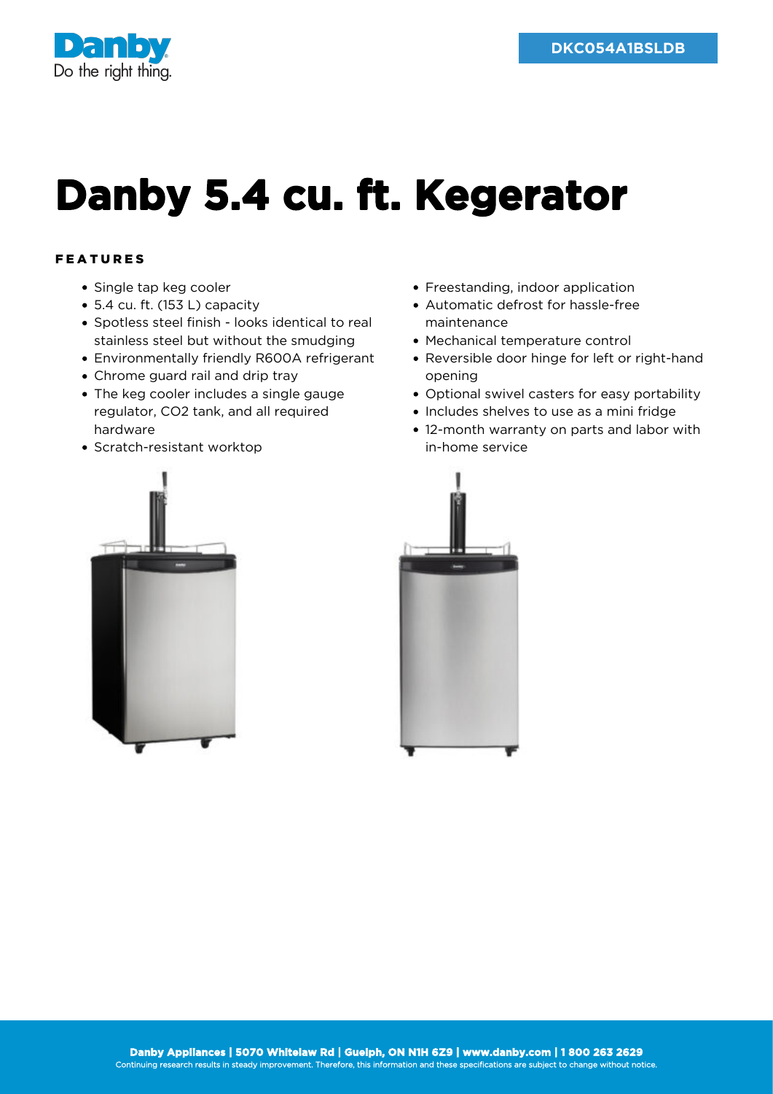

## **Danby 5.4 cu. ft. Kegerator**

## FEATURES

- Single tap keg cooler
- 5.4 cu. ft. (153 L) capacity
- Spotless steel finish looks identical to real stainless steel but without the smudging
- Environmentally friendly R600A refrigerant
- Chrome guard rail and drip tray
- The keg cooler includes a single gauge regulator, CO2 tank, and all required hardware
- Scratch-resistant worktop



- Freestanding, indoor application
- Automatic defrost for hassle-free maintenance
- Mechanical temperature control
- Reversible door hinge for left or right-hand opening
- Optional swivel casters for easy portability
- Includes shelves to use as a mini fridge
- 12-month warranty on parts and labor with in-home service